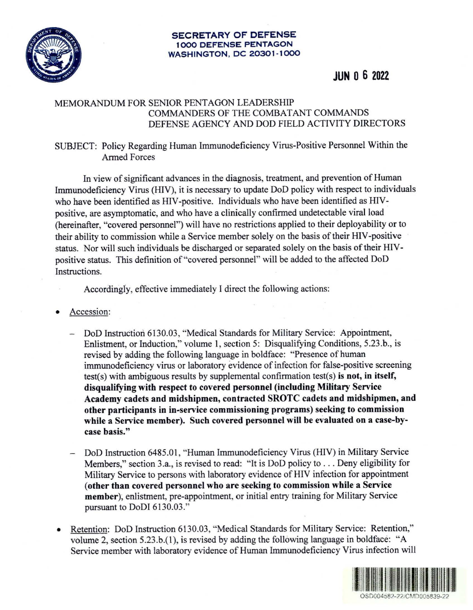

## **SECRETARY OF DEFENSE 1000 DEFENSE PENTAGON WASHINGTON, DC 20301 -1000**

## **JUN O 6 2022**

## MEMORANDUM FOR SENIOR PENTAGON LEADERSHIP COMMANDERS OF THE COMBATANT COMMANDS DEFENSE AGENCY AND DOD FIELD ACTIVITY DIRECTORS

## SUBJECT: Policy Regarding Human Immunodeficiency Virus-Positive Personnel Within the Armed Forces

In view of significant advances in the diagnosis, treatment, and prevention of Human Immunodeficiency Virus (HIV), it is necessary to update DoD policy with respect to individuals who have been identified as HIV-positive. Individuals who have been identified as HIVpositive, are asymptomatic, and who have a clinically confirmed unqetectable viral load (hereinafter, "covered personnel") will have no restrictions applied to their deployability or to their ability to commission while a Service member solely on the basis of their HIV-positive status. Nor will such individuals be discharged or separated solely on the basis of their HIVpositive status. This definition of "covered personnel" will be added to the affected DoD Instructions.

Accordingly, effective immediately I direct the following actions:

- Accession:
	- DoD Instruction 6130.03, "Medical Standards for Military Service: Appointment, Enlistment, or Induction," volume 1, section 5: Disqualifying Conditions, 5.23.b., is revised by adding the following language in boldface: "Presence of human immunodeficiency virus or laboratory evidence of infection for false-positive screening test(s) with ambiguous results by supplemental confirmation test(s) **is not, in itself, disqualifying with respect to covered personnel (including Military Service Academy cadets and midshipmen, contracted SROTC cadets and midshipmen, and other participants in in-service commissioning programs) seeking to commission while a Service member). Such covered personnel will be evaluated on a case-bycase basis."**
	- DoD Instruction 6485.01, "Human Immunodeficiency Virus (HIV) in Military Service Members," section 3.a., is revised to read: "It is OoD policy to .. . Deny eligibility for Military Service to persons with laboratory evidence of HIV infection for appointment **(other than covered personnel who are seeking to commission while a Service**  member), enlistment, pre-appointment, or initial entry training for Military Service pursuant to DoDI 6130.03."
- Retention: DoD Instruction 6130.03, "Medical Standards for Military Service: Retention," volume 2, section 5.23.b.(l), is revised by adding the following language in boldface: "A Service member with laboratory evidence of Human Immunodeficiency Virus infection will